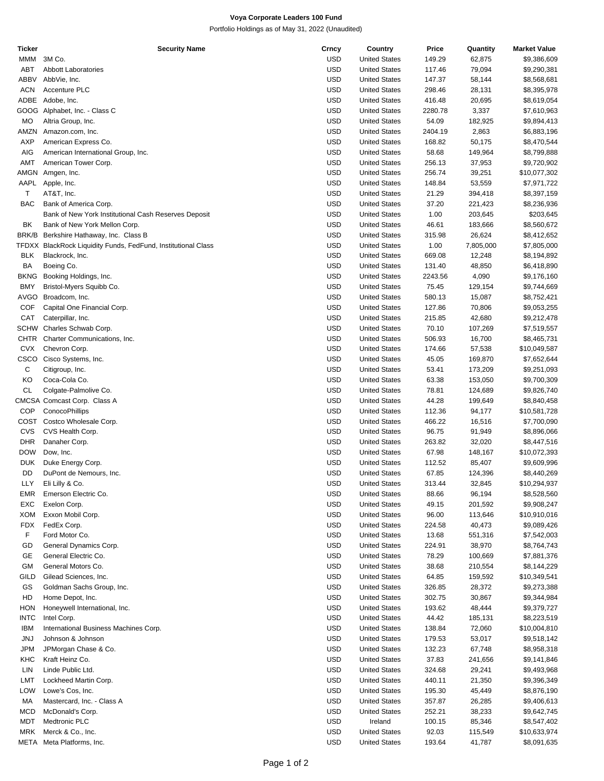## **Voya Corporate Leaders 100 Fund**

Portfolio Holdings as of May 31, 2022 (Unaudited)

| Ticker      | <b>Security Name</b>                                          | Crncy      | Country              | Price   | Quantity  | <b>Market Value</b> |
|-------------|---------------------------------------------------------------|------------|----------------------|---------|-----------|---------------------|
| MMM         | 3M Co.                                                        | <b>USD</b> | <b>United States</b> | 149.29  | 62,875    | \$9,386,609         |
| ABT         | <b>Abbott Laboratories</b>                                    | <b>USD</b> | <b>United States</b> | 117.46  | 79,094    | \$9,290,381         |
| <b>ABBV</b> | AbbVie, Inc.                                                  | <b>USD</b> | <b>United States</b> | 147.37  | 58,144    | \$8,568,681         |
|             |                                                               |            |                      |         |           |                     |
| <b>ACN</b>  | Accenture PLC                                                 | <b>USD</b> | <b>United States</b> | 298.46  | 28,131    | \$8,395,978         |
| ADBE        | Adobe, Inc.                                                   | <b>USD</b> | <b>United States</b> | 416.48  | 20,695    | \$8,619,054         |
|             | GOOG Alphabet, Inc. - Class C                                 | <b>USD</b> | <b>United States</b> | 2280.78 | 3,337     | \$7,610,963         |
| <b>MO</b>   | Altria Group, Inc.                                            | <b>USD</b> | <b>United States</b> | 54.09   | 182,925   | \$9,894,413         |
| AMZN        | Amazon.com, Inc.                                              | <b>USD</b> | <b>United States</b> | 2404.19 | 2,863     | \$6,883,196         |
| <b>AXP</b>  | American Express Co.                                          | <b>USD</b> | <b>United States</b> | 168.82  | 50,175    | \$8,470,544         |
| AIG         |                                                               | <b>USD</b> | <b>United States</b> | 58.68   | 149,964   | \$8,799,888         |
|             | American International Group, Inc.                            |            |                      |         |           |                     |
| <b>AMT</b>  | American Tower Corp.                                          | <b>USD</b> | <b>United States</b> | 256.13  | 37,953    | \$9,720,902         |
| AMGN        | Amgen, Inc.                                                   | <b>USD</b> | <b>United States</b> | 256.74  | 39,251    | \$10,077,302        |
| AAPL        | Apple, Inc.                                                   | <b>USD</b> | <b>United States</b> | 148.84  | 53,559    | \$7,971,722         |
| T           | AT&T, Inc.                                                    | <b>USD</b> | <b>United States</b> | 21.29   | 394,418   | \$8,397,159         |
| <b>BAC</b>  | Bank of America Corp.                                         | <b>USD</b> | <b>United States</b> | 37.20   | 221,423   | \$8,236,936         |
|             | Bank of New York Institutional Cash Reserves Deposit          | <b>USD</b> | <b>United States</b> | 1.00    | 203,645   | \$203,645           |
|             |                                                               |            |                      |         |           |                     |
| BK          | Bank of New York Mellon Corp.                                 | <b>USD</b> | <b>United States</b> | 46.61   | 183,666   | \$8,560,672         |
| BRK/B       | Berkshire Hathaway, Inc. Class B                              | <b>USD</b> | <b>United States</b> | 315.98  | 26,624    | \$8,412,652         |
|             | TFDXX BlackRock Liquidity Funds, FedFund, Institutional Class | <b>USD</b> | <b>United States</b> | 1.00    | 7,805,000 | \$7,805,000         |
| <b>BLK</b>  | Blackrock, Inc.                                               | <b>USD</b> | <b>United States</b> | 669.08  | 12,248    | \$8,194,892         |
| BA          | Boeing Co.                                                    | <b>USD</b> | <b>United States</b> | 131.40  | 48,850    | \$6,418,890         |
| BKNG        | Booking Holdings, Inc.                                        | <b>USD</b> | <b>United States</b> | 2243.56 | 4,090     | \$9,176,160         |
|             |                                                               |            |                      |         |           |                     |
| <b>BMY</b>  | Bristol-Myers Squibb Co.                                      | <b>USD</b> | <b>United States</b> | 75.45   | 129,154   | \$9,744,669         |
| AVGO        | Broadcom, Inc.                                                | <b>USD</b> | <b>United States</b> | 580.13  | 15,087    | \$8,752,421         |
| COF         | Capital One Financial Corp.                                   | <b>USD</b> | <b>United States</b> | 127.86  | 70,806    | \$9,053,255         |
| CAT         | Caterpillar, Inc.                                             | <b>USD</b> | <b>United States</b> | 215.85  | 42,680    | \$9,212,478         |
| SCHW        | Charles Schwab Corp.                                          | <b>USD</b> | <b>United States</b> | 70.10   | 107,269   | \$7,519,557         |
| CHTR        | Charter Communications, Inc.                                  | <b>USD</b> | <b>United States</b> | 506.93  | 16,700    | \$8,465,731         |
|             |                                                               |            |                      |         |           |                     |
| <b>CVX</b>  | Chevron Corp.                                                 | <b>USD</b> | <b>United States</b> | 174.66  | 57,538    | \$10,049,587        |
| CSCO        | Cisco Systems, Inc.                                           | <b>USD</b> | <b>United States</b> | 45.05   | 169,870   | \$7,652,644         |
| С           | Citigroup, Inc.                                               | <b>USD</b> | <b>United States</b> | 53.41   | 173,209   | \$9,251,093         |
| KO          | Coca-Cola Co.                                                 | <b>USD</b> | <b>United States</b> | 63.38   | 153,050   | \$9,700,309         |
| CL          | Colgate-Palmolive Co.                                         | <b>USD</b> | <b>United States</b> | 78.81   | 124,689   | \$9,826,740         |
|             | CMCSA Comcast Corp. Class A                                   | <b>USD</b> | <b>United States</b> | 44.28   | 199,649   | \$8,840,458         |
| COP         | ConocoPhillips                                                | <b>USD</b> | <b>United States</b> | 112.36  | 94,177    | \$10,581,728        |
|             |                                                               |            |                      |         |           |                     |
|             | COST Costco Wholesale Corp.                                   | <b>USD</b> | <b>United States</b> | 466.22  | 16,516    | \$7,700,090         |
| CVS         | CVS Health Corp.                                              | <b>USD</b> | <b>United States</b> | 96.75   | 91,949    | \$8,896,066         |
| <b>DHR</b>  | Danaher Corp.                                                 | <b>USD</b> | <b>United States</b> | 263.82  | 32,020    | \$8,447,516         |
| <b>DOW</b>  | Dow, Inc.                                                     | <b>USD</b> | <b>United States</b> | 67.98   | 148,167   | \$10,072,393        |
| <b>DUK</b>  | Duke Energy Corp.                                             | <b>USD</b> | <b>United States</b> | 112.52  | 85,407    | \$9,609,996         |
| DD          | DuPont de Nemours, Inc.                                       | <b>USD</b> | <b>United States</b> | 67.85   | 124,396   | \$8,440,269         |
|             |                                                               |            |                      |         |           |                     |
| LLY         | Eli Lilly & Co.                                               | <b>USD</b> | <b>United States</b> | 313.44  | 32,845    | \$10,294,937        |
| EMR         | Emerson Electric Co.                                          | <b>USD</b> | <b>United States</b> | 88.66   | 96,194    | \$8,528,560         |
| EXC         | Exelon Corp.                                                  | USD        | <b>United States</b> | 49.15   | 201,592   | \$9,908,247         |
| XOM         | Exxon Mobil Corp.                                             | USD        | <b>United States</b> | 96.00   | 113,646   | \$10,910,016        |
| <b>FDX</b>  | FedEx Corp.                                                   | USD        | <b>United States</b> | 224.58  | 40,473    | \$9,089,426         |
| F           | Ford Motor Co.                                                | <b>USD</b> | <b>United States</b> | 13.68   | 551,316   | \$7,542,003         |
|             |                                                               |            | <b>United States</b> |         |           |                     |
| GD          | General Dynamics Corp.                                        | USD        |                      | 224.91  | 38,970    | \$8,764,743         |
| GE          | General Electric Co.                                          | USD        | <b>United States</b> | 78.29   | 100,669   | \$7,881,376         |
| GМ          | General Motors Co.                                            | USD        | <b>United States</b> | 38.68   | 210,554   | \$8,144,229         |
| GILD        | Gilead Sciences, Inc.                                         | <b>USD</b> | <b>United States</b> | 64.85   | 159,592   | \$10,349,541        |
| GS          | Goldman Sachs Group, Inc.                                     | USD        | <b>United States</b> | 326.85  | 28,372    | \$9,273,388         |
| HD          | Home Depot, Inc.                                              | USD        | <b>United States</b> | 302.75  | 30,867    | \$9,344,984         |
|             |                                                               | USD        |                      |         |           | \$9,379,727         |
| HON         | Honeywell International, Inc.                                 |            | <b>United States</b> | 193.62  | 48,444    |                     |
| <b>INTC</b> | Intel Corp.                                                   | USD        | <b>United States</b> | 44.42   | 185,131   | \$8,223,519         |
| IBM         | International Business Machines Corp.                         | USD        | <b>United States</b> | 138.84  | 72,060    | \$10,004,810        |
| JNJ         | Johnson & Johnson                                             | USD        | <b>United States</b> | 179.53  | 53,017    | \$9,518,142         |
| <b>JPM</b>  | JPMorgan Chase & Co.                                          | USD        | <b>United States</b> | 132.23  | 67,748    | \$8,958,318         |
| KHC         | Kraft Heinz Co.                                               | <b>USD</b> | <b>United States</b> | 37.83   | 241,656   | \$9,141,846         |
| LIN         | Linde Public Ltd.                                             | USD        | <b>United States</b> |         |           |                     |
|             |                                                               |            |                      | 324.68  | 29,241    | \$9,493,968         |
| LMT         | Lockheed Martin Corp.                                         | USD        | <b>United States</b> | 440.11  | 21,350    | \$9,396,349         |
| LOW         | Lowe's Cos, Inc.                                              | USD        | <b>United States</b> | 195.30  | 45,449    | \$8,876,190         |
| МA          | Mastercard, Inc. - Class A                                    | <b>USD</b> | <b>United States</b> | 357.87  | 26,285    | \$9,406,613         |
| MCD         | McDonald's Corp.                                              | USD        | <b>United States</b> | 252.21  | 38,233    | \$9,642,745         |
| <b>MDT</b>  | Medtronic PLC                                                 | USD        | Ireland              | 100.15  | 85,346    | \$8,547,402         |
| MRK         | Merck & Co., Inc.                                             | USD        | <b>United States</b> | 92.03   | 115,549   | \$10,633,974        |
|             |                                                               |            |                      |         |           |                     |
| META        | Meta Platforms, Inc.                                          | <b>USD</b> | <b>United States</b> | 193.64  | 41,787    | \$8,091,635         |